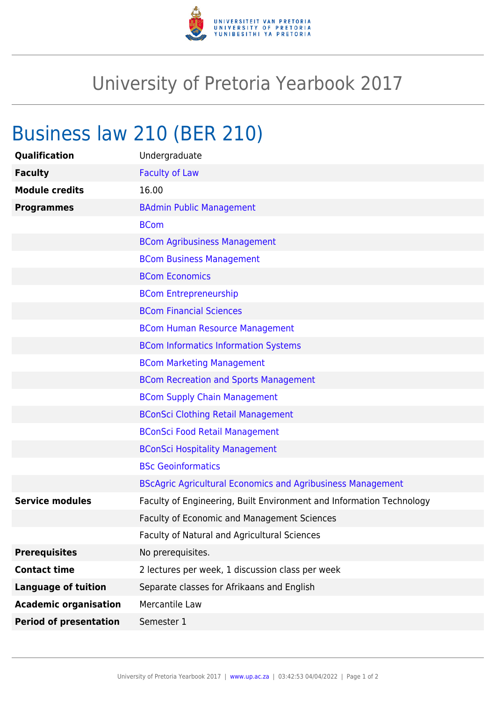

## University of Pretoria Yearbook 2017

## Business law 210 (BER 210)

| <b>Qualification</b>          | Undergraduate                                                        |
|-------------------------------|----------------------------------------------------------------------|
| <b>Faculty</b>                | <b>Faculty of Law</b>                                                |
| <b>Module credits</b>         | 16.00                                                                |
| <b>Programmes</b>             | <b>BAdmin Public Management</b>                                      |
|                               | <b>BCom</b>                                                          |
|                               | <b>BCom Agribusiness Management</b>                                  |
|                               | <b>BCom Business Management</b>                                      |
|                               | <b>BCom Economics</b>                                                |
|                               | <b>BCom Entrepreneurship</b>                                         |
|                               | <b>BCom Financial Sciences</b>                                       |
|                               | <b>BCom Human Resource Management</b>                                |
|                               | <b>BCom Informatics Information Systems</b>                          |
|                               | <b>BCom Marketing Management</b>                                     |
|                               | <b>BCom Recreation and Sports Management</b>                         |
|                               | <b>BCom Supply Chain Management</b>                                  |
|                               | <b>BConSci Clothing Retail Management</b>                            |
|                               | <b>BConSci Food Retail Management</b>                                |
|                               | <b>BConSci Hospitality Management</b>                                |
|                               | <b>BSc Geoinformatics</b>                                            |
|                               | <b>BScAgric Agricultural Economics and Agribusiness Management</b>   |
| <b>Service modules</b>        | Faculty of Engineering, Built Environment and Information Technology |
|                               | <b>Faculty of Economic and Management Sciences</b>                   |
|                               | Faculty of Natural and Agricultural Sciences                         |
| <b>Prerequisites</b>          | No prerequisites.                                                    |
| <b>Contact time</b>           | 2 lectures per week, 1 discussion class per week                     |
| <b>Language of tuition</b>    | Separate classes for Afrikaans and English                           |
| <b>Academic organisation</b>  | Mercantile Law                                                       |
| <b>Period of presentation</b> | Semester 1                                                           |
|                               |                                                                      |